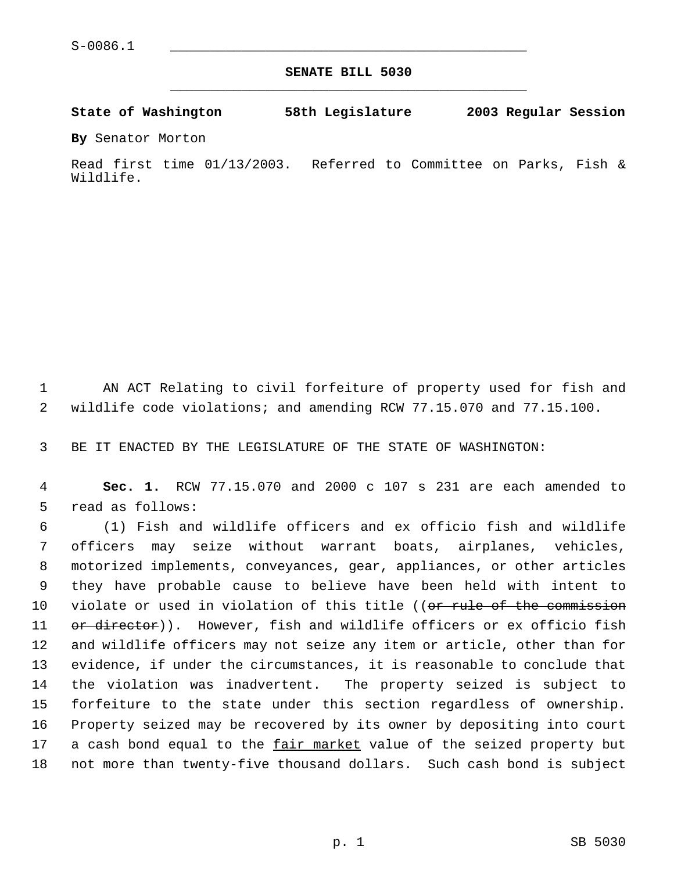**SENATE BILL 5030** \_\_\_\_\_\_\_\_\_\_\_\_\_\_\_\_\_\_\_\_\_\_\_\_\_\_\_\_\_\_\_\_\_\_\_\_\_\_\_\_\_\_\_\_\_

**State of Washington 58th Legislature 2003 Regular Session**

**By** Senator Morton

Read first time 01/13/2003. Referred to Committee on Parks, Fish & Wildlife.

 AN ACT Relating to civil forfeiture of property used for fish and wildlife code violations; and amending RCW 77.15.070 and 77.15.100.

BE IT ENACTED BY THE LEGISLATURE OF THE STATE OF WASHINGTON:

 **Sec. 1.** RCW 77.15.070 and 2000 c 107 s 231 are each amended to read as follows:

 (1) Fish and wildlife officers and ex officio fish and wildlife officers may seize without warrant boats, airplanes, vehicles, motorized implements, conveyances, gear, appliances, or other articles they have probable cause to believe have been held with intent to 10 violate or used in violation of this title ((or rule of the commission 11 or director)). However, fish and wildlife officers or ex officio fish and wildlife officers may not seize any item or article, other than for evidence, if under the circumstances, it is reasonable to conclude that the violation was inadvertent. The property seized is subject to forfeiture to the state under this section regardless of ownership. Property seized may be recovered by its owner by depositing into court a cash bond equal to the fair market value of the seized property but not more than twenty-five thousand dollars. Such cash bond is subject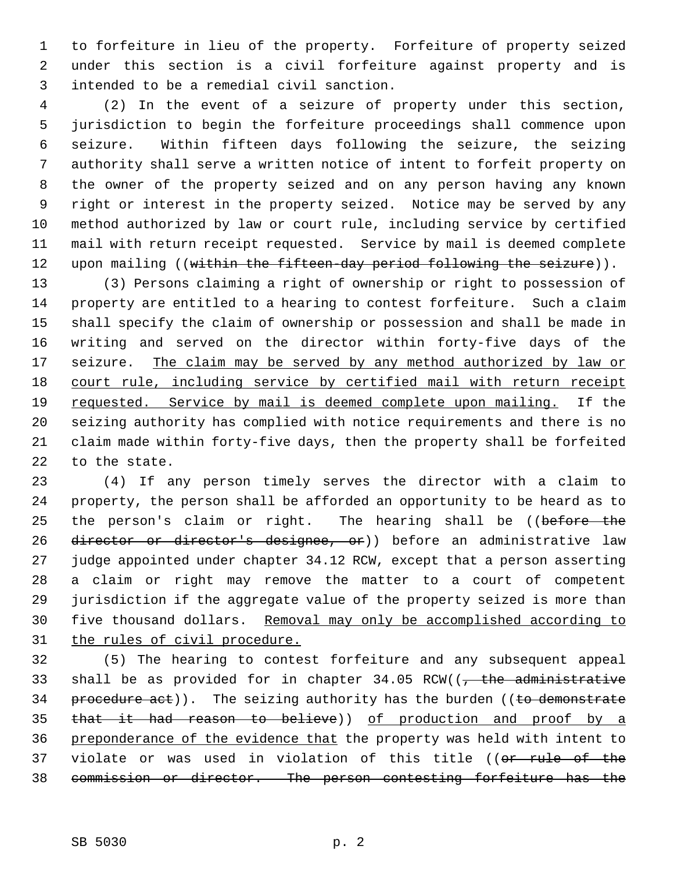to forfeiture in lieu of the property. Forfeiture of property seized under this section is a civil forfeiture against property and is intended to be a remedial civil sanction.

 (2) In the event of a seizure of property under this section, jurisdiction to begin the forfeiture proceedings shall commence upon seizure. Within fifteen days following the seizure, the seizing authority shall serve a written notice of intent to forfeit property on the owner of the property seized and on any person having any known right or interest in the property seized. Notice may be served by any method authorized by law or court rule, including service by certified mail with return receipt requested. Service by mail is deemed complete 12 upon mailing ((within the fifteen-day period following the seizure)).

 (3) Persons claiming a right of ownership or right to possession of property are entitled to a hearing to contest forfeiture. Such a claim shall specify the claim of ownership or possession and shall be made in writing and served on the director within forty-five days of the 17 seizure. The claim may be served by any method authorized by law or court rule, including service by certified mail with return receipt 19 requested. Service by mail is deemed complete upon mailing. If the seizing authority has complied with notice requirements and there is no claim made within forty-five days, then the property shall be forfeited to the state.

 (4) If any person timely serves the director with a claim to property, the person shall be afforded an opportunity to be heard as to 25 the person's claim or right. The hearing shall be ((before the 26 director or director's designee, or)) before an administrative law judge appointed under chapter 34.12 RCW, except that a person asserting a claim or right may remove the matter to a court of competent jurisdiction if the aggregate value of the property seized is more than five thousand dollars. Removal may only be accomplished according to the rules of civil procedure.

 (5) The hearing to contest forfeiture and any subsequent appeal 33 shall be as provided for in chapter  $34.05$  RCW(( $\frac{1}{100}$  administrative 34 procedure act)). The seizing authority has the burden ((to demonstrate that it had reason to believe)) of production and proof by a preponderance of the evidence that the property was held with intent to 37 violate or was used in violation of this title ((or rule of the commission or director. The person contesting forfeiture has the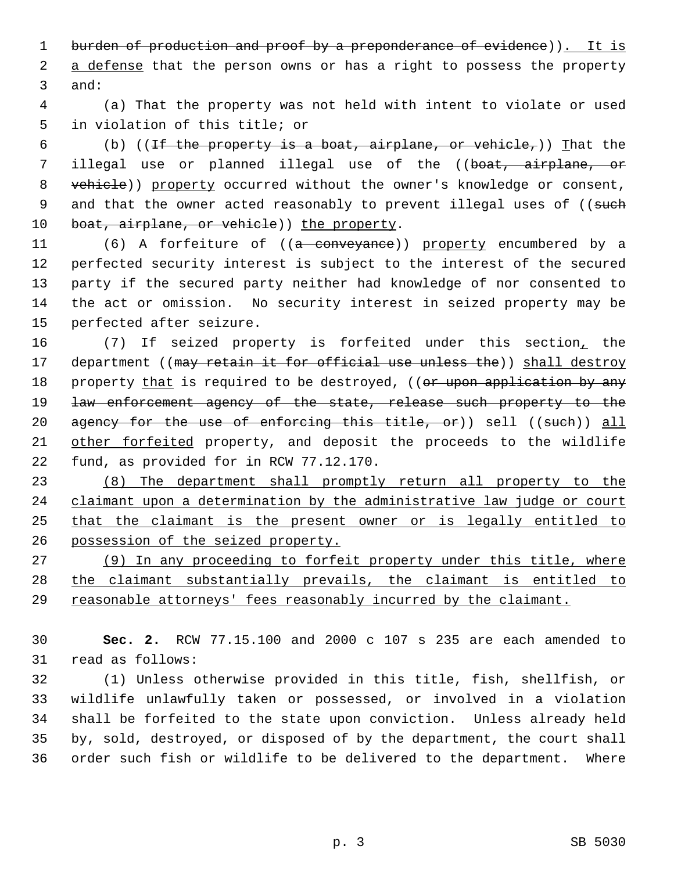1 burden of production and proof by a preponderance of evidence)). It is 2 a defense that the person owns or has a right to possess the property 3 and:

 4 (a) That the property was not held with intent to violate or used 5 in violation of this title; or

6 (b) ((If the property is a boat, airplane, or vehicle,)) That the 7 illegal use or planned illegal use of the ((boat, airplane, or 8 vehicle)) property occurred without the owner's knowledge or consent, 9 and that the owner acted reasonably to prevent illegal uses of ((such 10 boat, airplane, or vehicle)) the property.

11 (6) A forfeiture of ((a conveyance)) property encumbered by a perfected security interest is subject to the interest of the secured party if the secured party neither had knowledge of nor consented to the act or omission. No security interest in seized property may be perfected after seizure.

16 (7) If seized property is forfeited under this section, the 17 department ((may retain it for official use unless the)) shall destroy 18 property that is required to be destroyed, ((or upon application by any 19 <del>law enforcement agency of the state, release such property to the</del> 20 agency for the use of enforcing this title, or)) sell ((such)) all 21 other forfeited property, and deposit the proceeds to the wildlife 22 fund, as provided for in RCW 77.12.170.

23 (8) The department shall promptly return all property to the 24 claimant upon a determination by the administrative law judge or court 25 that the claimant is the present owner or is legally entitled to 26 possession of the seized property.

27 (9) In any proceeding to forfeit property under this title, where 28 the claimant substantially prevails, the claimant is entitled to 29 reasonable attorneys' fees reasonably incurred by the claimant.

30 **Sec. 2.** RCW 77.15.100 and 2000 c 107 s 235 are each amended to 31 read as follows:

 (1) Unless otherwise provided in this title, fish, shellfish, or wildlife unlawfully taken or possessed, or involved in a violation shall be forfeited to the state upon conviction. Unless already held by, sold, destroyed, or disposed of by the department, the court shall order such fish or wildlife to be delivered to the department. Where